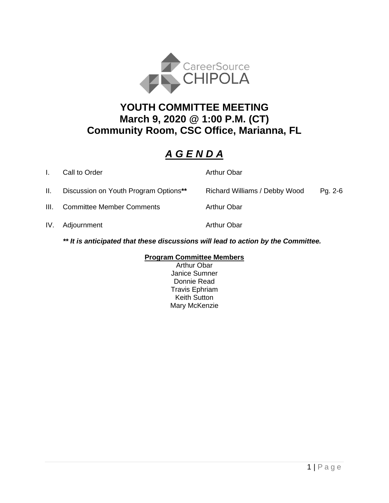

## **YOUTH COMMITTEE MEETING March 9, 2020 @ 1:00 P.M. (CT) Community Room, CSC Office, Marianna, FL**

## *A G E N D A*

|      | Call to Order                         | <b>Arthur Obar</b>            |         |
|------|---------------------------------------|-------------------------------|---------|
| Ш.   | Discussion on Youth Program Options** | Richard Williams / Debby Wood | Pg. 2-6 |
| III. | <b>Committee Member Comments</b>      | <b>Arthur Obar</b>            |         |
|      | IV. Adjournment                       | <b>Arthur Obar</b>            |         |
|      |                                       |                               |         |

*\*\* It is anticipated that these discussions will lead to action by the Committee.*

#### **Program Committee Members**

Arthur Obar Janice Sumner Donnie Read Travis Ephriam Keith Sutton Mary McKenzie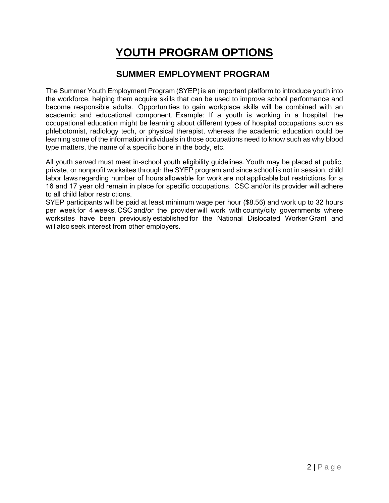# **YOUTH PROGRAM OPTIONS**

### **SUMMER EMPLOYMENT PROGRAM**

The Summer Youth Employment Program (SYEP) is an important platform to introduce youth into the workforce, helping them acquire skills that can be used to improve school performance and become responsible adults.  Opportunities to gain workplace skills will be combined with an academic and educational component.  Example: If a youth is working in a hospital, the occupational education might be learning about different types of hospital occupations such as phlebotomist, radiology tech, or physical therapist, whereas the academic education could be learning some of the information individuals in those occupations need to know such as why blood type matters, the name of a specific bone in the body, etc.     

All youth served must meet in-school youth eligibility guidelines. Youth may be placed at public, private, or nonprofit worksites through the SYEP program and since school is not in session, child labor laws regarding number of hours allowable for work are not applicable but restrictions for a 16 and 17 year old remain in place for specific occupations.  CSC and/or its provider will adhere to all child labor restrictions.     

SYEP participants will be paid at least minimum wage per hour (\$8.56) and work up to 32 hours per week for 4 weeks. CSC and/or the provider will work with county/city governments where worksites have been previously established for the National Dislocated Worker Grant and will also seek interest from other employers.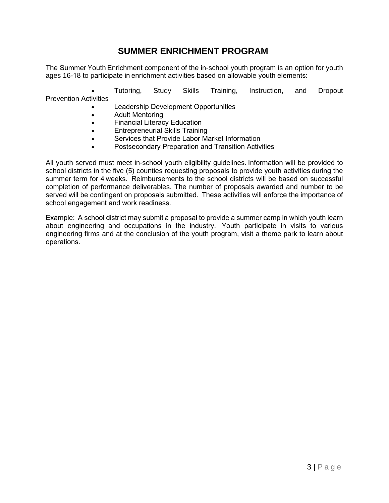### **SUMMER ENRICHMENT PROGRAM**

The Summer Youth Enrichment component of the in-school youth program is an option for youth ages 16-18 to participate in enrichment activities based on allowable youth elements: 

• Tutoring, Study Skills Training, Instruction, and Dropout Prevention Activities  

- Leadership Development Opportunities
- Adult Mentoring
- Financial Literacy Education
- Entrepreneurial Skills Training
- Services that Provide Labor Market Information
- Postsecondary Preparation and Transition Activities

All youth served must meet in-school youth eligibility guidelines. Information will be provided to school districts in the five (5) counties requesting proposals to provide youth activities during the summer term for 4 weeks.  Reimbursements to the school districts will be based on successful completion of performance deliverables. The number of proposals awarded and number to be served will be contingent on proposals submitted.  These activities will enforce the importance of school engagement and work readiness. 

Example:  A school district may submit a proposal to provide a summer camp in which youth learn about engineering and occupations in the industry.  Youth participate in visits to various engineering firms and at the conclusion of the youth program, visit a theme park to learn about operations.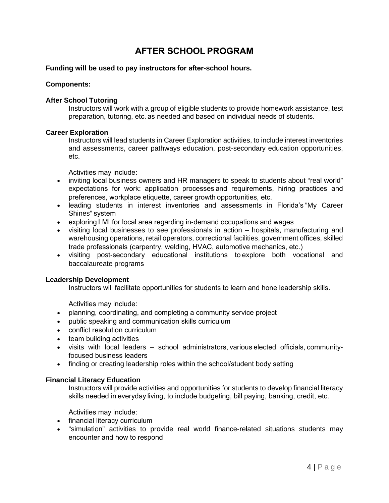## **AFTER SCHOOL PROGRAM**

#### **Funding will be used to pay instructors for after-school hours.**

#### **Components:**

#### **After School Tutoring**

Instructors will work with a group of eligible students to provide homework assistance, test preparation, tutoring, etc. as needed and based on individual needs of students. 

#### **Career Exploration**

Instructors will lead students in Career Exploration activities, to include interest inventories and assessments, career pathways education, post-secondary education opportunities, etc.  

Activities may include: 

- inviting local business owners and HR managers to speak to students about "real world" expectations for work: application processes and requirements, hiring practices and preferences, workplace etiquette, career growth opportunities, etc.
- leading students in interest inventories and assessments in Florida's "My Career Shines" system
- exploring LMI for local area regarding in-demand occupations and wages
- visiting local businesses to see professionals in action hospitals, manufacturing and warehousing operations, retail operators, correctional facilities, government offices, skilled trade professionals (carpentry, welding, HVAC, automotive mechanics, etc.)
- visiting post-secondary educational institutions to explore both vocational and baccalaureate programs

#### **Leadership Development**

Instructors will facilitate opportunities for students to learn and hone leadership skills. 

Activities may include: 

- planning, coordinating, and completing a community service project
- public speaking and communication skills curriculum
- conflict resolution curriculum
- team building activities
- visits with local leaders school administrators, various elected officials, communityfocused business leaders
- finding or creating leadership roles within the school/student body setting

#### **Financial Literacy Education**

Instructors will provide activities and opportunities for students to develop financial literacy skills needed in everyday living, to include budgeting, bill paying, banking, credit, etc. 

Activities may include: 

- financial literacy curriculum
- "simulation" activities to provide real world finance-related situations students may encounter and how to respond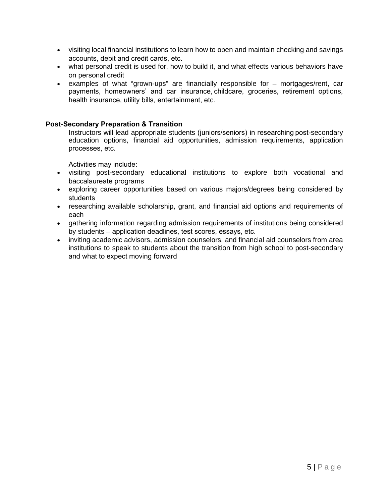- visiting local financial institutions to learn how to open and maintain checking and savings accounts, debit and credit cards, etc.
- what personal credit is used for, how to build it, and what effects various behaviors have on personal credit
- examples of what "grown-ups" are financially responsible for mortgages/rent, car payments, homeowners' and car insurance, childcare, groceries, retirement options, health insurance, utility bills, entertainment, etc.

#### **Post-Secondary Preparation & Transition**

Instructors will lead appropriate students (juniors/seniors) in researching post-secondary education options, financial aid opportunities, admission requirements, application processes, etc. 

Activities may include: 

- visiting post-secondary educational institutions to explore both vocational and baccalaureate programs
- exploring career opportunities based on various majors/degrees being considered by students
- researching available scholarship, grant, and financial aid options and requirements of each
- gathering information regarding admission requirements of institutions being considered by students – application deadlines, test scores, essays, etc.
- inviting academic advisors, admission counselors, and financial aid counselors from area institutions to speak to students about the transition from high school to post-secondary and what to expect moving forward